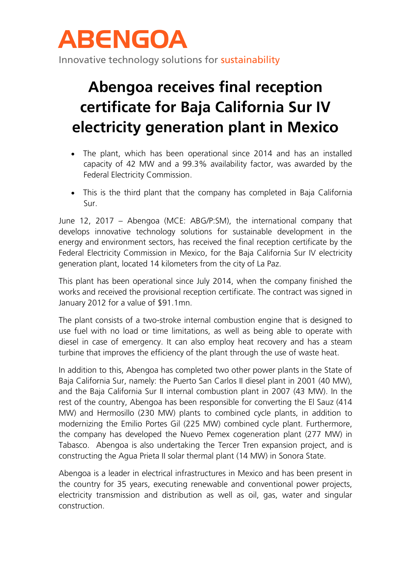

## **Abengoa receives final reception certificate for Baja California Sur IV electricity generation plant in Mexico**

- The plant, which has been operational since 2014 and has an installed capacity of 42 MW and a 99.3% availability factor, was awarded by the Federal Electricity Commission.
- This is the third plant that the company has completed in Baja California Sur.

June 12, 2017 – Abengoa (MCE: ABG/P:SM), the international company that develops innovative technology solutions for sustainable development in the energy and environment sectors, has received the final reception certificate by the Federal Electricity Commission in Mexico, for the Baja California Sur IV electricity generation plant, located 14 kilometers from the city of La Paz.

This plant has been operational since July 2014, when the company finished the works and received the provisional reception certificate. The contract was signed in January 2012 for a value of \$91.1mn.

The plant consists of a two-stroke internal combustion engine that is designed to use fuel with no load or time limitations, as well as being able to operate with diesel in case of emergency. It can also employ heat recovery and has a steam turbine that improves the efficiency of the plant through the use of waste heat.

In addition to this, Abengoa has completed two other power plants in the State of Baja California Sur, namely: the Puerto San Carlos II diesel plant in 2001 (40 MW), and the Baja California Sur II internal combustion plant in 2007 (43 MW). In the rest of the country, Abengoa has been responsible for converting the El Sauz (414 MW) and Hermosillo (230 MW) plants to combined cycle plants, in addition to modernizing the Emilio Portes Gil (225 MW) combined cycle plant. Furthermore, the company has developed the Nuevo Pemex cogeneration plant (277 MW) in Tabasco. Abengoa is also undertaking the Tercer Tren expansion project, and is constructing the Agua Prieta II solar thermal plant (14 MW) in Sonora State.

Abengoa is a leader in electrical infrastructures in Mexico and has been present in the country for 35 years, executing renewable and conventional power projects, electricity transmission and distribution as well as oil, gas, water and singular construction.